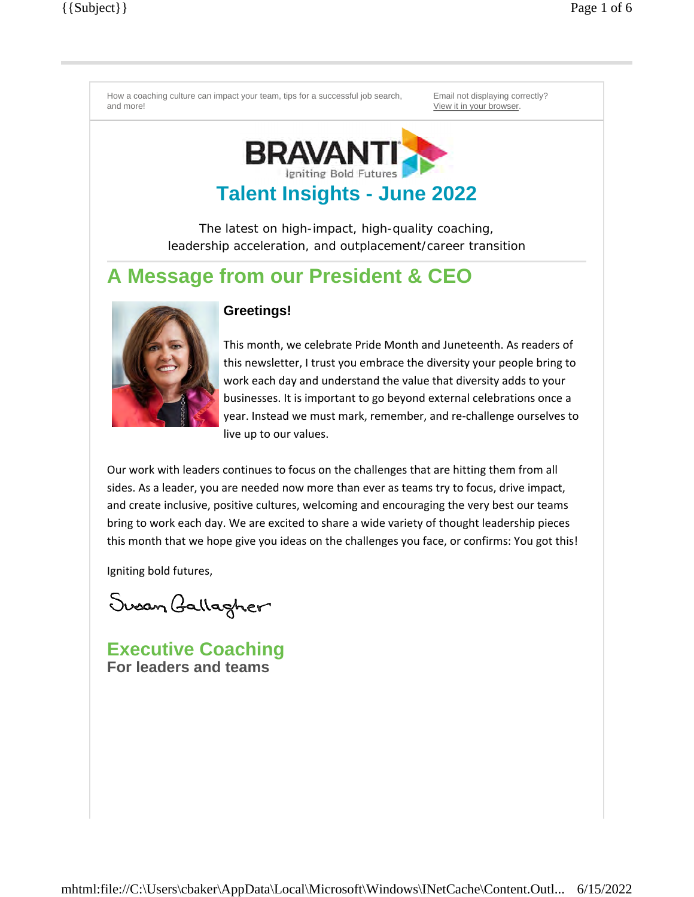

# **Talent Insights - June 2022**

The latest on high-impact, high-quality coaching, leadership acceleration, and outplacement/career transition

# **A Message from our President & CEO**



### **Greetings!**

This month, we celebrate Pride Month and Juneteenth. As readers of this newsletter, I trust you embrace the diversity your people bring to work each day and understand the value that diversity adds to your businesses. It is important to go beyond external celebrations once a year. Instead we must mark, remember, and re-challenge ourselves to live up to our values.

Our work with leaders continues to focus on the challenges that are hitting them from all sides. As a leader, you are needed now more than ever as teams try to focus, drive impact, and create inclusive, positive cultures, welcoming and encouraging the very best our teams bring to work each day. We are excited to share a wide variety of thought leadership pieces this month that we hope give you ideas on the challenges you face, or confirms: You got this!

Igniting bold futures,

Susan Gallagher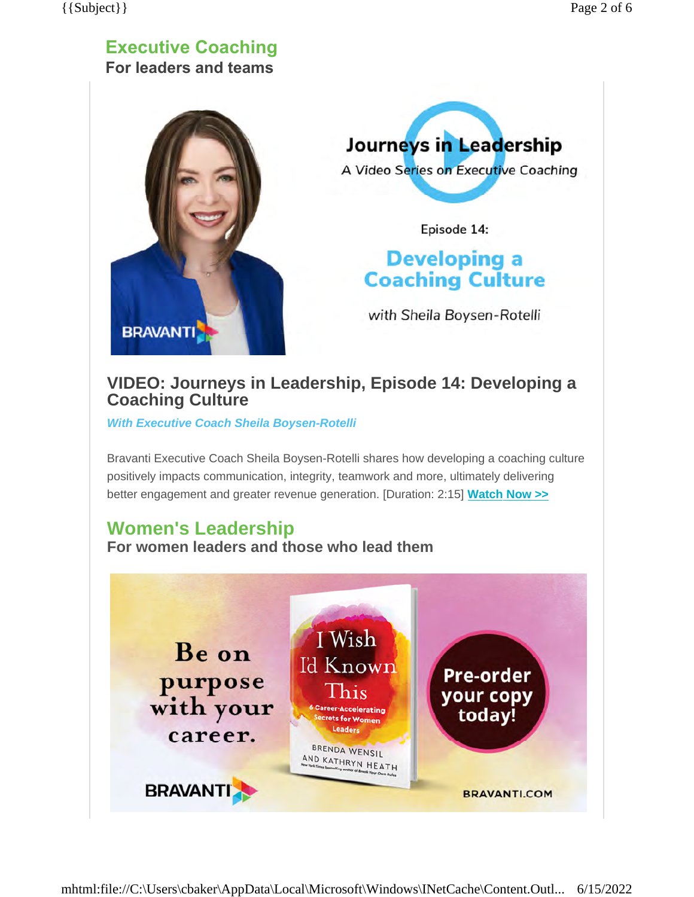### **Executive Coaching For leaders and teams**





Episode 14:

# **Developing a Coaching Culture**

with Sheila Boysen-Rotelli

## **VIDEO: Journeys in Leadership, Episode 14: Developing a Coaching Culture**

*With Executive Coach Sheila Boysen-Rotelli*

Bravanti Executive Coach Sheila Boysen-Rotelli shares how developing a coaching culture positively impacts communication, integrity, teamwork and more, ultimately delivering better engagement and greater revenue generation. [Duration: 2:15] **Watch [Now >>](https://bravanti.com/insights/video-series/journeys-in-leadership/?utm_medium=email&utm_source=newsletter&utm_campaign=ec)**

## **Women's Leadership**

**For women leaders and those who lead them**

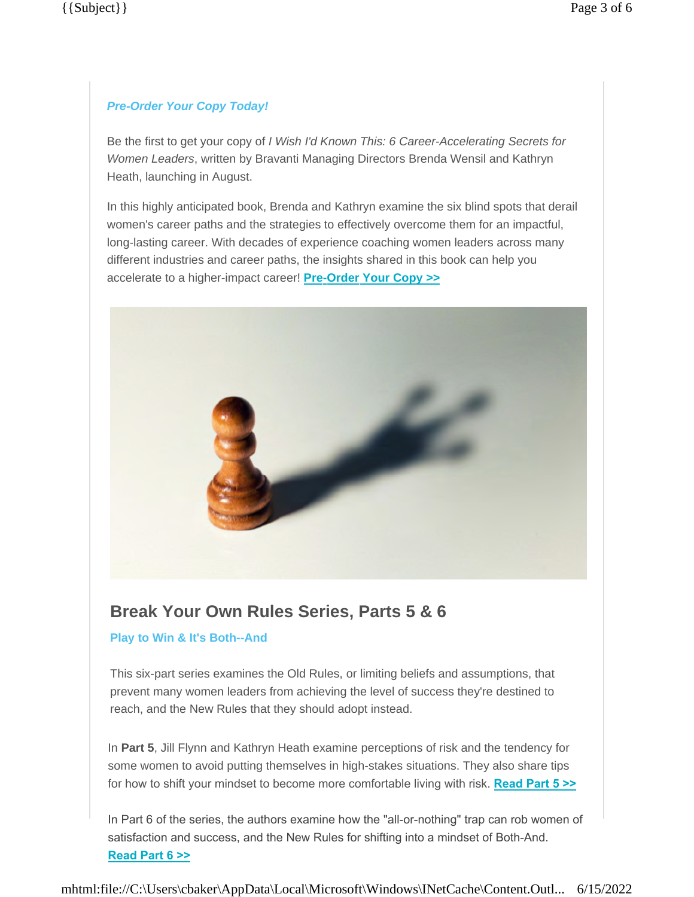#### *Pre-Order Your Copy Today!*

Be the first to get your copy of *I Wish I'd Known This: 6 Career-Accelerating Secrets for Women Leaders*, written by Bravanti Managing Directors Brenda Wensil and Kathryn Heath, launching in August.

In this highly anticipated book, Brenda and Kathryn examine the six blind spots that derail women's career paths and the strategies to effectively overcome them for an impactful, long-lasting career. With decades of experience coaching women leaders across many different industries and career paths, the insights shared in this book can help you accelerate to a higher-impact career! **[Pre-Order Your Copy >>](https://bravanti.com/insights/books/i-wish-id-known-this/?utm_medium=email&utm_source=newsletter&utm_campaign=la)**



## **Break Your Own Rules Series, Parts 5 & 6**

#### **Play to Win & It's Both--And**

This six-part series examines the Old Rules, or limiting beliefs and assumptions, that prevent many women leaders from achieving the level of success they're destined to reach, and the New Rules that they should adopt instead.

In **Part 5**, Jill Flynn and Kathryn Heath examine perceptions of risk and the tendency for some women to avoid putting themselves in high-stakes situations. They also share tips for how to shift your mindset to become more comfortable living with risk. **[Read Part 5 >>](https://bravanti.com/break-your-own-rules-play-to-win?utm_medium=email&utm_source=newsletter&utm_campaign=la)**

In Part 6 of the series, the authors examine how the "all-or-nothing" trap can rob women of satisfaction and success, and the New Rules for shifting into a mindset of Both-And. **[Read](https://bravanti.com/break-your-own-rules-its-both-and?utm_medium=email&utm_source=newsletter&utm_campaign=la) Part 6 >>**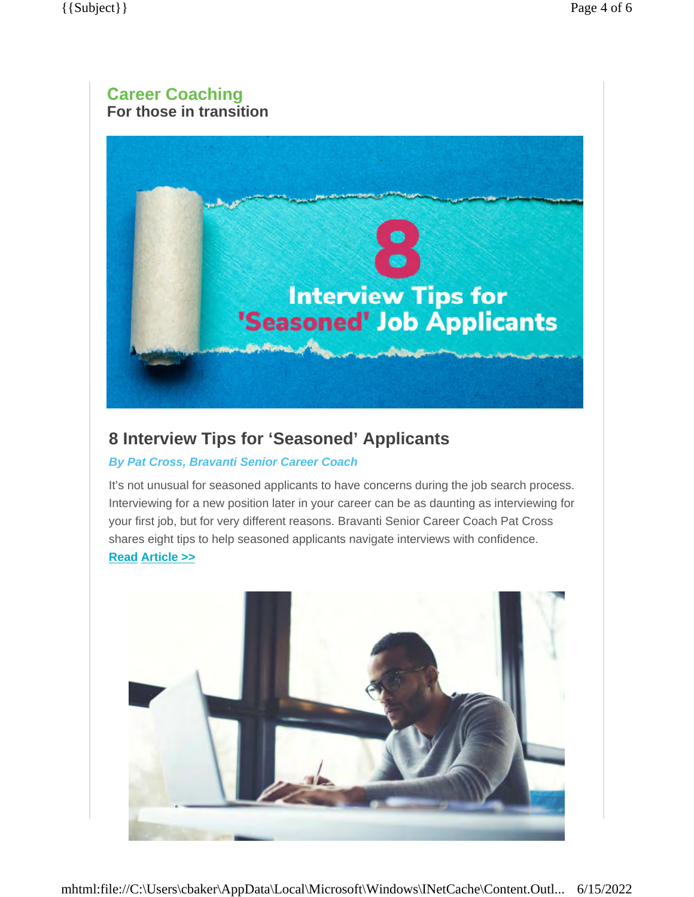### **Career Coaching For those in transition**



## **8 Interview Tips for 'Seasoned' Applicants**

#### *By Pat Cross, Bravanti Senior Career Coach*

It's not unusual for seasoned applicants to have concerns during the job search process. Interviewing for a new position later in your career can be as daunting as interviewing for your first job, but for very different reasons. Bravanti Senior Career Coach Pat Cross shares eight tips to help seasoned applicants navigate interviews with confidence. **Read [Article](https://bravanti.com/8-interview-tips-for-seasoned-applicants?utm_medium=email&utm_source=newsletter&utm_campaign=ct) >>**